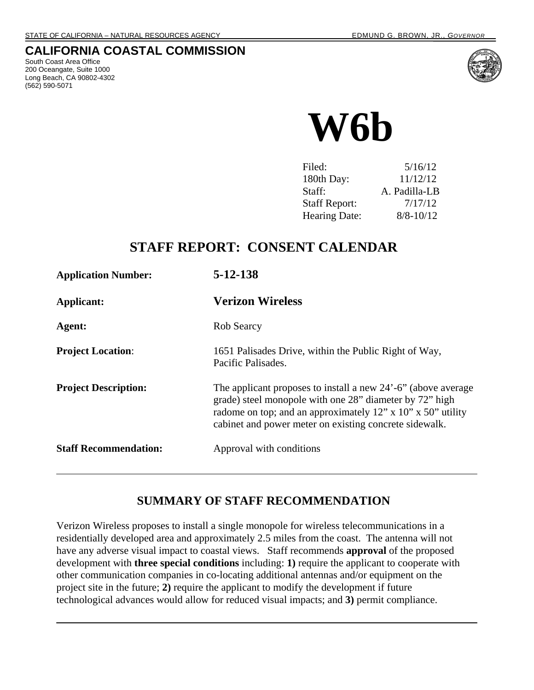### **CALIFORNIA COASTAL COMMISSION**

South Coast Area Office 200 Oceangate, Suite 1000 Long Beach, CA 90802-4302 (562) 590-5071



**W6b** 

| 5/16/12       |
|---------------|
| 11/12/12      |
| A. Padilla-LB |
| 7/17/12       |
| $8/8 - 10/12$ |
|               |

# **STAFF REPORT: CONSENT CALENDAR**

| <b>Application Number:</b>   | $5 - 12 - 138$                                                                                                                                                                                                                                    |
|------------------------------|---------------------------------------------------------------------------------------------------------------------------------------------------------------------------------------------------------------------------------------------------|
| Applicant:                   | <b>Verizon Wireless</b>                                                                                                                                                                                                                           |
| Agent:                       | Rob Searcy                                                                                                                                                                                                                                        |
| <b>Project Location:</b>     | 1651 Palisades Drive, within the Public Right of Way,<br>Pacific Palisades.                                                                                                                                                                       |
| <b>Project Description:</b>  | The applicant proposes to install a new 24'-6" (above average<br>grade) steel monopole with one 28" diameter by 72" high<br>radome on top; and an approximately 12" x 10" x 50" utility<br>cabinet and power meter on existing concrete sidewalk. |
| <b>Staff Recommendation:</b> | Approval with conditions                                                                                                                                                                                                                          |

## **SUMMARY OF STAFF RECOMMENDATION**

Verizon Wireless proposes to install a single monopole for wireless telecommunications in a residentially developed area and approximately 2.5 miles from the coast. The antenna will not have any adverse visual impact to coastal views. Staff recommends **approval** of the proposed development with **three special conditions** including: **1)** require the applicant to cooperate with other communication companies in co-locating additional antennas and/or equipment on the project site in the future; **2)** require the applicant to modify the development if future technological advances would allow for reduced visual impacts; and **3)** permit compliance.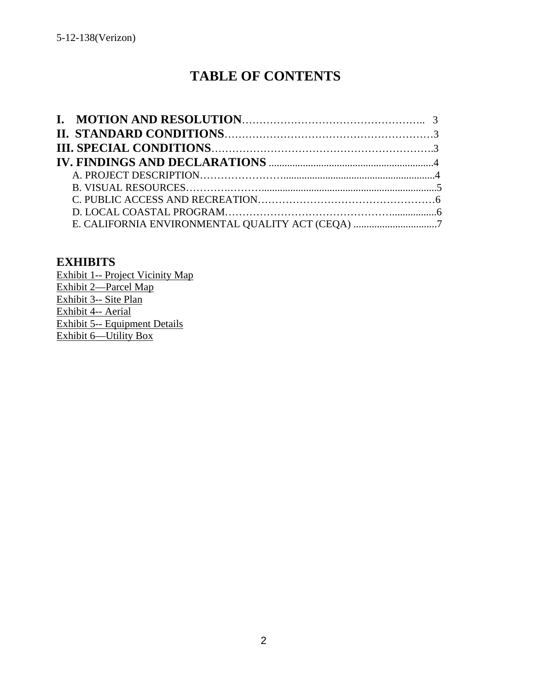# **TABLE OF CONTENTS**

| E. CALIFORNIA ENVIRONMENTAL QUALITY ACT (CEQA) 7 |  |
|--------------------------------------------------|--|

### **EXHIBITS**

Exhibit 1-- Project Vicinity Map Exhibit 2—Parcel Map Exhibit 3-- Site Plan Exhibit 4-- Aerial Exhibit 5-- Equipment Details Exhibit 6—Utility Box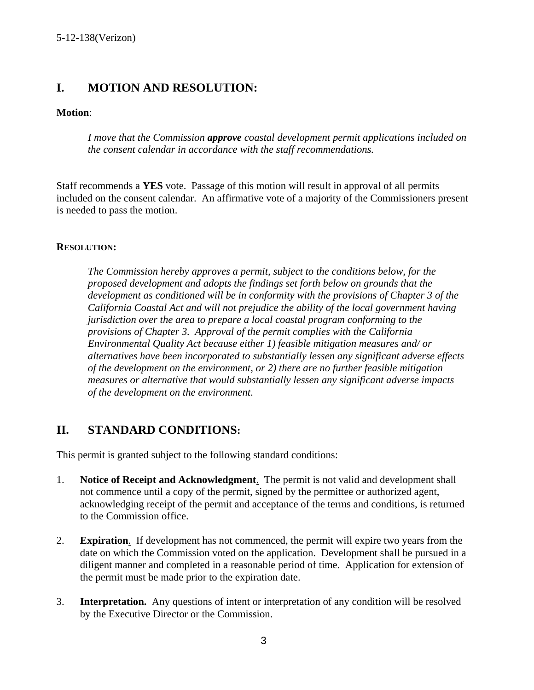## **I. MOTION AND RESOLUTION:**

#### **Motion**:

 *I move that the Commission approve coastal development permit applications included on the consent calendar in accordance with the staff recommendations.* 

Staff recommends a **YES** vote. Passage of this motion will result in approval of all permits included on the consent calendar. An affirmative vote of a majority of the Commissioners present is needed to pass the motion.

#### **RESOLUTION:**

*The Commission hereby approves a permit, subject to the conditions below, for the proposed development and adopts the findings set forth below on grounds that the development as conditioned will be in conformity with the provisions of Chapter 3 of the California Coastal Act and will not prejudice the ability of the local government having jurisdiction over the area to prepare a local coastal program conforming to the provisions of Chapter 3. Approval of the permit complies with the California Environmental Quality Act because either 1) feasible mitigation measures and/ or alternatives have been incorporated to substantially lessen any significant adverse effects of the development on the environment, or 2) there are no further feasible mitigation measures or alternative that would substantially lessen any significant adverse impacts of the development on the environment*.

### **II. STANDARD CONDITIONS:**

This permit is granted subject to the following standard conditions:

- 1. **Notice of Receipt and Acknowledgment**. The permit is not valid and development shall not commence until a copy of the permit, signed by the permittee or authorized agent, acknowledging receipt of the permit and acceptance of the terms and conditions, is returned to the Commission office.
- 2. **Expiration**. If development has not commenced, the permit will expire two years from the date on which the Commission voted on the application. Development shall be pursued in a diligent manner and completed in a reasonable period of time. Application for extension of the permit must be made prior to the expiration date.
- 3. **Interpretation.** Any questions of intent or interpretation of any condition will be resolved by the Executive Director or the Commission.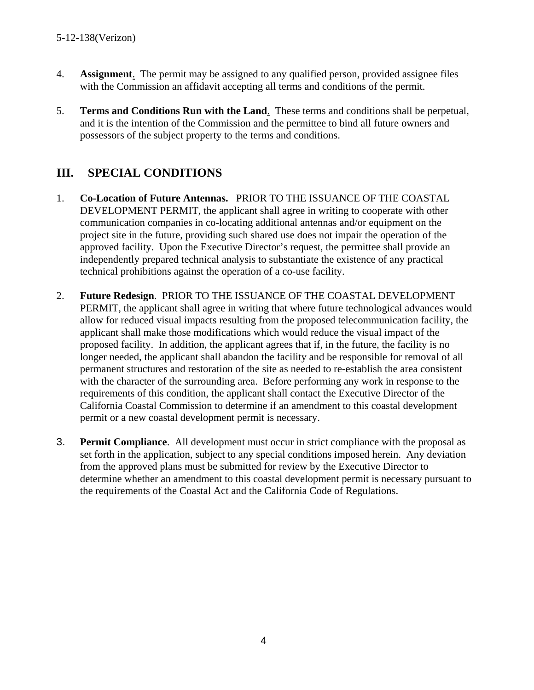- 4. **Assignment**. The permit may be assigned to any qualified person, provided assignee files with the Commission an affidavit accepting all terms and conditions of the permit.
- 5. **Terms and Conditions Run with the Land**. These terms and conditions shall be perpetual, and it is the intention of the Commission and the permittee to bind all future owners and possessors of the subject property to the terms and conditions.

# **III. SPECIAL CONDITIONS**

- 1. **Co-Location of Future Antennas.** PRIOR TO THE ISSUANCE OF THE COASTAL DEVELOPMENT PERMIT, the applicant shall agree in writing to cooperate with other communication companies in co-locating additional antennas and/or equipment on the project site in the future, providing such shared use does not impair the operation of the approved facility. Upon the Executive Director's request, the permittee shall provide an independently prepared technical analysis to substantiate the existence of any practical technical prohibitions against the operation of a co-use facility.
- 2. **Future Redesign**. PRIOR TO THE ISSUANCE OF THE COASTAL DEVELOPMENT PERMIT, the applicant shall agree in writing that where future technological advances would allow for reduced visual impacts resulting from the proposed telecommunication facility, the applicant shall make those modifications which would reduce the visual impact of the proposed facility. In addition, the applicant agrees that if, in the future, the facility is no longer needed, the applicant shall abandon the facility and be responsible for removal of all permanent structures and restoration of the site as needed to re-establish the area consistent with the character of the surrounding area. Before performing any work in response to the requirements of this condition, the applicant shall contact the Executive Director of the California Coastal Commission to determine if an amendment to this coastal development permit or a new coastal development permit is necessary.
- 3. **Permit Compliance**. All development must occur in strict compliance with the proposal as set forth in the application, subject to any special conditions imposed herein. Any deviation from the approved plans must be submitted for review by the Executive Director to determine whether an amendment to this coastal development permit is necessary pursuant to the requirements of the Coastal Act and the California Code of Regulations.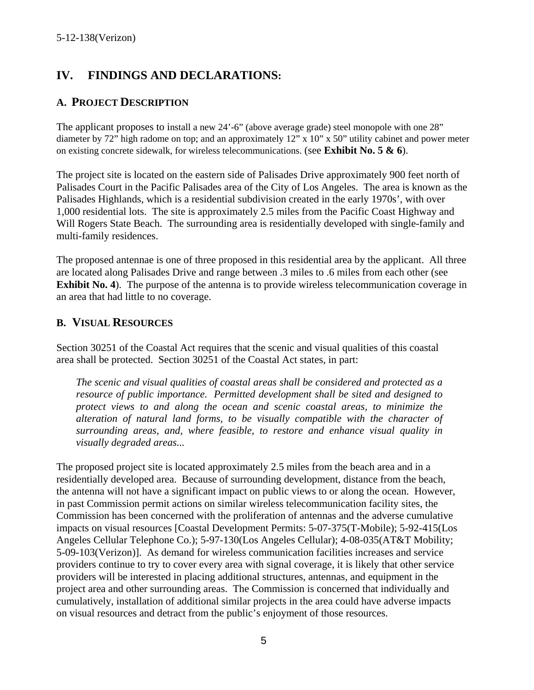# **IV. FINDINGS AND DECLARATIONS:**

#### **A. PROJECT DESCRIPTION**

The applicant proposes to install a new 24'-6" (above average grade) steel monopole with one 28" diameter by 72" high radome on top; and an approximately 12" x 10" x 50" utility cabinet and power meter on existing concrete sidewalk, for wireless telecommunications. (see **Exhibit No. 5 & 6**).

The project site is located on the eastern side of Palisades Drive approximately 900 feet north of Palisades Court in the Pacific Palisades area of the City of Los Angeles. The area is known as the Palisades Highlands, which is a residential subdivision created in the early 1970s', with over 1,000 residential lots. The site is approximately 2.5 miles from the Pacific Coast Highway and Will Rogers State Beach. The surrounding area is residentially developed with single-family and multi-family residences.

The proposed antennae is one of three proposed in this residential area by the applicant. All three are located along Palisades Drive and range between .3 miles to .6 miles from each other (see **Exhibit No. 4**). The purpose of the antenna is to provide wireless telecommunication coverage in an area that had little to no coverage.

#### **B. VISUAL RESOURCES**

Section 30251 of the Coastal Act requires that the scenic and visual qualities of this coastal area shall be protected. Section 30251 of the Coastal Act states, in part:

*The scenic and visual qualities of coastal areas shall be considered and protected as a resource of public importance. Permitted development shall be sited and designed to protect views to and along the ocean and scenic coastal areas, to minimize the alteration of natural land forms, to be visually compatible with the character of surrounding areas, and, where feasible, to restore and enhance visual quality in visually degraded areas...* 

The proposed project site is located approximately 2.5 miles from the beach area and in a residentially developed area. Because of surrounding development, distance from the beach, the antenna will not have a significant impact on public views to or along the ocean. However, in past Commission permit actions on similar wireless telecommunication facility sites, the Commission has been concerned with the proliferation of antennas and the adverse cumulative impacts on visual resources [Coastal Development Permits: 5-07-375(T-Mobile); 5-92-415(Los Angeles Cellular Telephone Co.); 5-97-130(Los Angeles Cellular); 4-08-035(AT&T Mobility; 5-09-103(Verizon)]. As demand for wireless communication facilities increases and service providers continue to try to cover every area with signal coverage, it is likely that other service providers will be interested in placing additional structures, antennas, and equipment in the project area and other surrounding areas. The Commission is concerned that individually and cumulatively, installation of additional similar projects in the area could have adverse impacts on visual resources and detract from the public's enjoyment of those resources.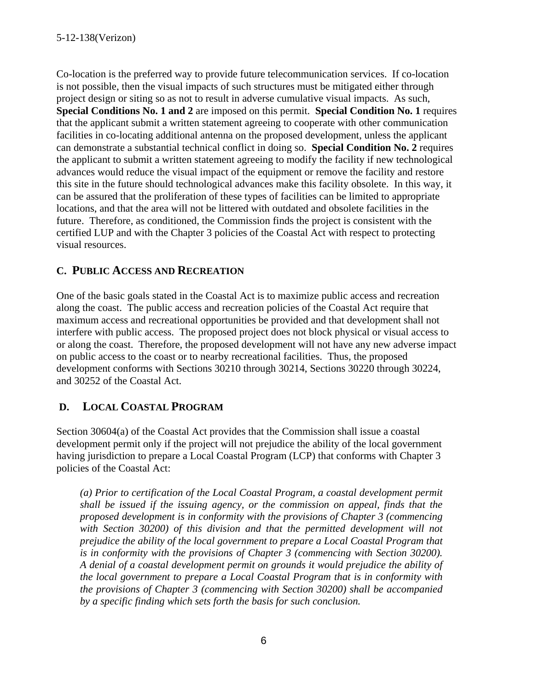Co-location is the preferred way to provide future telecommunication services. If co-location is not possible, then the visual impacts of such structures must be mitigated either through project design or siting so as not to result in adverse cumulative visual impacts. As such, **Special Conditions No. 1 and 2** are imposed on this permit. **Special Condition No. 1** requires that the applicant submit a written statement agreeing to cooperate with other communication facilities in co-locating additional antenna on the proposed development, unless the applicant can demonstrate a substantial technical conflict in doing so. **Special Condition No. 2** requires the applicant to submit a written statement agreeing to modify the facility if new technological advances would reduce the visual impact of the equipment or remove the facility and restore this site in the future should technological advances make this facility obsolete. In this way, it can be assured that the proliferation of these types of facilities can be limited to appropriate locations, and that the area will not be littered with outdated and obsolete facilities in the future. Therefore, as conditioned, the Commission finds the project is consistent with the certified LUP and with the Chapter 3 policies of the Coastal Act with respect to protecting visual resources.

### **C. PUBLIC ACCESS AND RECREATION**

One of the basic goals stated in the Coastal Act is to maximize public access and recreation along the coast. The public access and recreation policies of the Coastal Act require that maximum access and recreational opportunities be provided and that development shall not interfere with public access. The proposed project does not block physical or visual access to or along the coast. Therefore, the proposed development will not have any new adverse impact on public access to the coast or to nearby recreational facilities. Thus, the proposed development conforms with Sections 30210 through 30214, Sections 30220 through 30224, and 30252 of the Coastal Act.

## **D. LOCAL COASTAL PROGRAM**

Section 30604(a) of the Coastal Act provides that the Commission shall issue a coastal development permit only if the project will not prejudice the ability of the local government having jurisdiction to prepare a Local Coastal Program (LCP) that conforms with Chapter 3 policies of the Coastal Act:

*(a) Prior to certification of the Local Coastal Program, a coastal development permit shall be issued if the issuing agency, or the commission on appeal, finds that the proposed development is in conformity with the provisions of Chapter 3 (commencing*  with Section 30200) of this division and that the permitted development will not *prejudice the ability of the local government to prepare a Local Coastal Program that is in conformity with the provisions of Chapter 3 (commencing with Section 30200). A denial of a coastal development permit on grounds it would prejudice the ability of the local government to prepare a Local Coastal Program that is in conformity with the provisions of Chapter 3 (commencing with Section 30200) shall be accompanied by a specific finding which sets forth the basis for such conclusion.*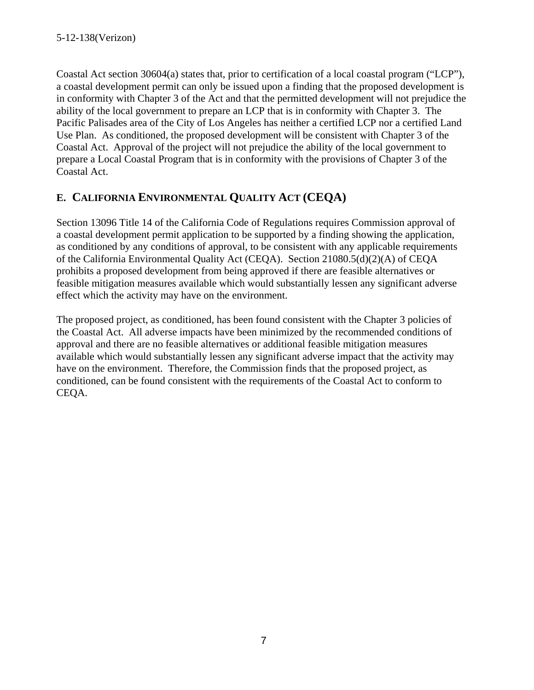Coastal Act section 30604(a) states that, prior to certification of a local coastal program ("LCP"), a coastal development permit can only be issued upon a finding that the proposed development is in conformity with Chapter 3 of the Act and that the permitted development will not prejudice the ability of the local government to prepare an LCP that is in conformity with Chapter 3. The Pacific Palisades area of the City of Los Angeles has neither a certified LCP nor a certified Land Use Plan. As conditioned, the proposed development will be consistent with Chapter 3 of the Coastal Act. Approval of the project will not prejudice the ability of the local government to prepare a Local Coastal Program that is in conformity with the provisions of Chapter 3 of the Coastal Act.

# **E. CALIFORNIA ENVIRONMENTAL QUALITY ACT (CEQA)**

Section 13096 Title 14 of the California Code of Regulations requires Commission approval of a coastal development permit application to be supported by a finding showing the application, as conditioned by any conditions of approval, to be consistent with any applicable requirements of the California Environmental Quality Act (CEQA). Section 21080.5(d)(2)(A) of CEQA prohibits a proposed development from being approved if there are feasible alternatives or feasible mitigation measures available which would substantially lessen any significant adverse effect which the activity may have on the environment.

The proposed project, as conditioned, has been found consistent with the Chapter 3 policies of the Coastal Act. All adverse impacts have been minimized by the recommended conditions of approval and there are no feasible alternatives or additional feasible mitigation measures available which would substantially lessen any significant adverse impact that the activity may have on the environment. Therefore, the Commission finds that the proposed project, as conditioned, can be found consistent with the requirements of the Coastal Act to conform to CEQA.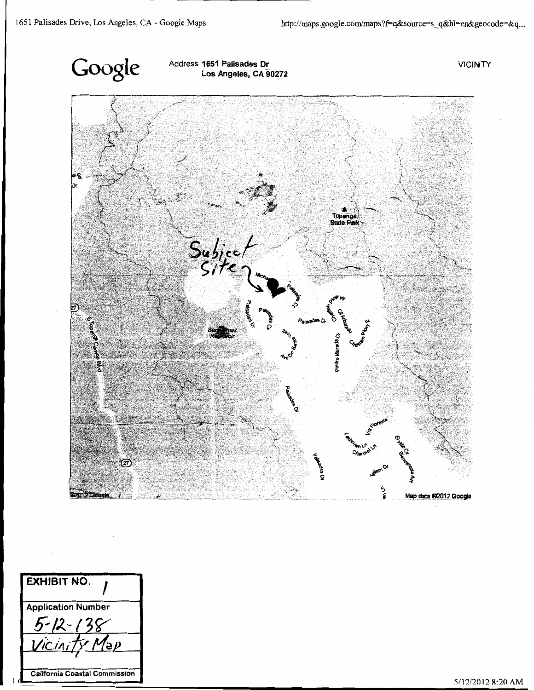

Address 1651 Palisades Dr Los Angeles, CA 90272 **VICINITY** 



**EXHIBIT NO. Application Number** 12-138 อ $\rho$ **California Coastal Commission**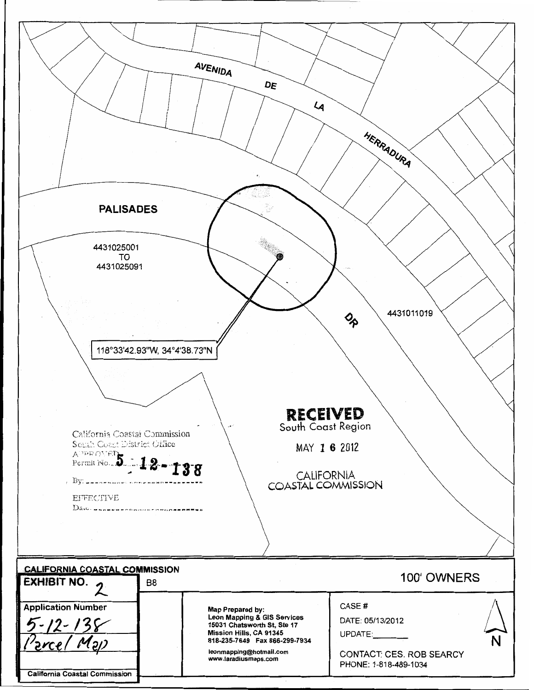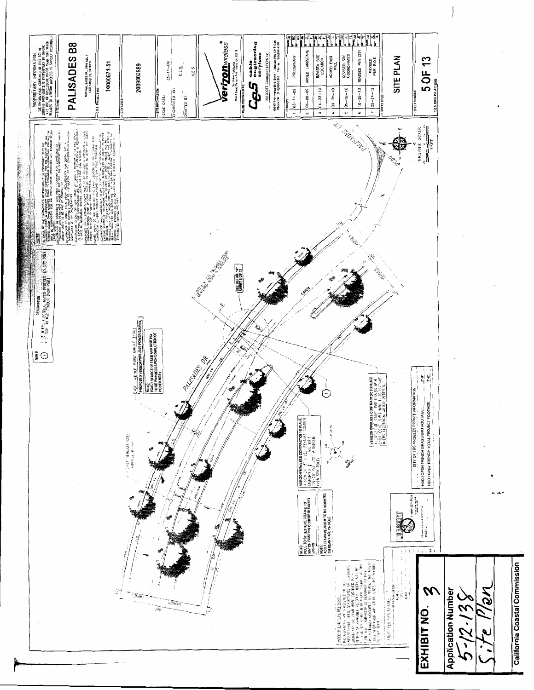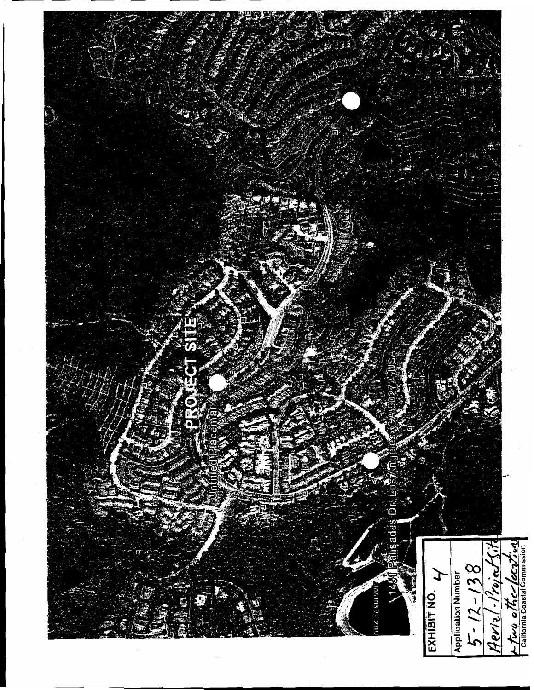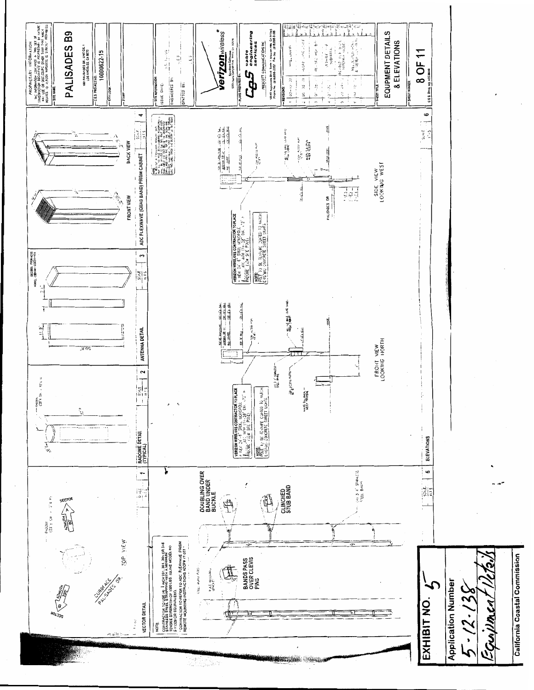